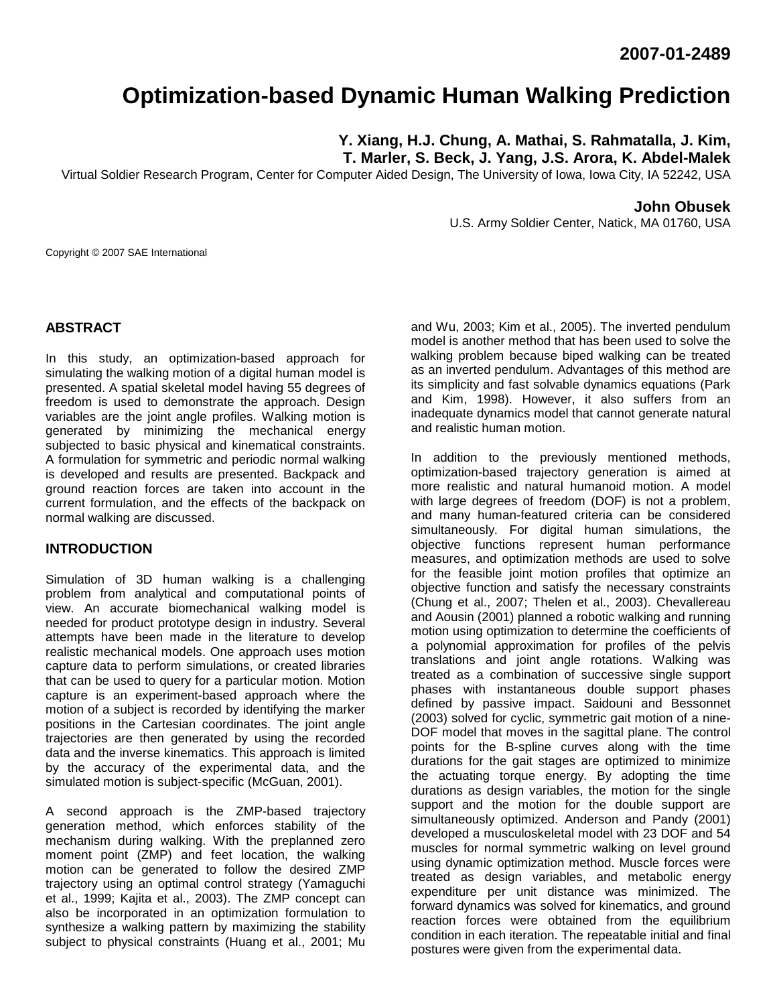# **Optimization-based Dynamic Human Walking Prediction**

**Y. Xiang, H.J. Chung, A. Mathai, S. Rahmatalla, J. Kim, T. Marler, S. Beck, J. Yang, J.S. Arora, K. Abdel-Malek** 

Virtual Soldier Research Program, Center for Computer Aided Design, The University of Iowa, Iowa City, IA 52242, USA

## **John Obusek**

U.S. Army Soldier Center, Natick, MA 01760, USA

Copyright © 2007 SAE International

# **ABSTRACT**

In this study, an optimization-based approach for simulating the walking motion of a digital human model is presented. A spatial skeletal model having 55 degrees of freedom is used to demonstrate the approach. Design variables are the joint angle profiles. Walking motion is generated by minimizing the mechanical energy subjected to basic physical and kinematical constraints. A formulation for symmetric and periodic normal walking is developed and results are presented. Backpack and ground reaction forces are taken into account in the current formulation, and the effects of the backpack on normal walking are discussed.

#### **INTRODUCTION**

Simulation of 3D human walking is a challenging problem from analytical and computational points of view. An accurate biomechanical walking model is needed for product prototype design in industry. Several attempts have been made in the literature to develop realistic mechanical models. One approach uses motion capture data to perform simulations, or created libraries that can be used to query for a particular motion. Motion capture is an experiment-based approach where the motion of a subject is recorded by identifying the marker positions in the Cartesian coordinates. The joint angle trajectories are then generated by using the recorded data and the inverse kinematics. This approach is limited by the accuracy of the experimental data, and the simulated motion is subject-specific (McGuan, 2001).

A second approach is the ZMP-based trajectory generation method, which enforces stability of the mechanism during walking. With the preplanned zero moment point (ZMP) and feet location, the walking motion can be generated to follow the desired ZMP trajectory using an optimal control strategy (Yamaguchi et al., 1999; Kajita et al., 2003). The ZMP concept can also be incorporated in an optimization formulation to synthesize a walking pattern by maximizing the stability subject to physical constraints (Huang et al., 2001; Mu

and Wu, 2003; Kim et al., 2005). The inverted pendulum model is another method that has been used to solve the walking problem because biped walking can be treated as an inverted pendulum. Advantages of this method are its simplicity and fast solvable dynamics equations (Park and Kim, 1998). However, it also suffers from an inadequate dynamics model that cannot generate natural and realistic human motion.

In addition to the previously mentioned methods, optimization-based trajectory generation is aimed at more realistic and natural humanoid motion. A model with large degrees of freedom (DOF) is not a problem, and many human-featured criteria can be considered simultaneously. For digital human simulations, the objective functions represent human performance measures, and optimization methods are used to solve for the feasible joint motion profiles that optimize an objective function and satisfy the necessary constraints (Chung et al., 2007; Thelen et al., 2003). Chevallereau and Aousin (2001) planned a robotic walking and running motion using optimization to determine the coefficients of a polynomial approximation for profiles of the pelvis translations and joint angle rotations. Walking was treated as a combination of successive single support phases with instantaneous double support phases defined by passive impact. Saidouni and Bessonnet (2003) solved for cyclic, symmetric gait motion of a nine-DOF model that moves in the sagittal plane. The control points for the B-spline curves along with the time durations for the gait stages are optimized to minimize the actuating torque energy. By adopting the time durations as design variables, the motion for the single support and the motion for the double support are simultaneously optimized. Anderson and Pandy (2001) developed a musculoskeletal model with 23 DOF and 54 muscles for normal symmetric walking on level ground using dynamic optimization method. Muscle forces were treated as design variables, and metabolic energy expenditure per unit distance was minimized. The forward dynamics was solved for kinematics, and ground reaction forces were obtained from the equilibrium condition in each iteration. The repeatable initial and final postures were given from the experimental data.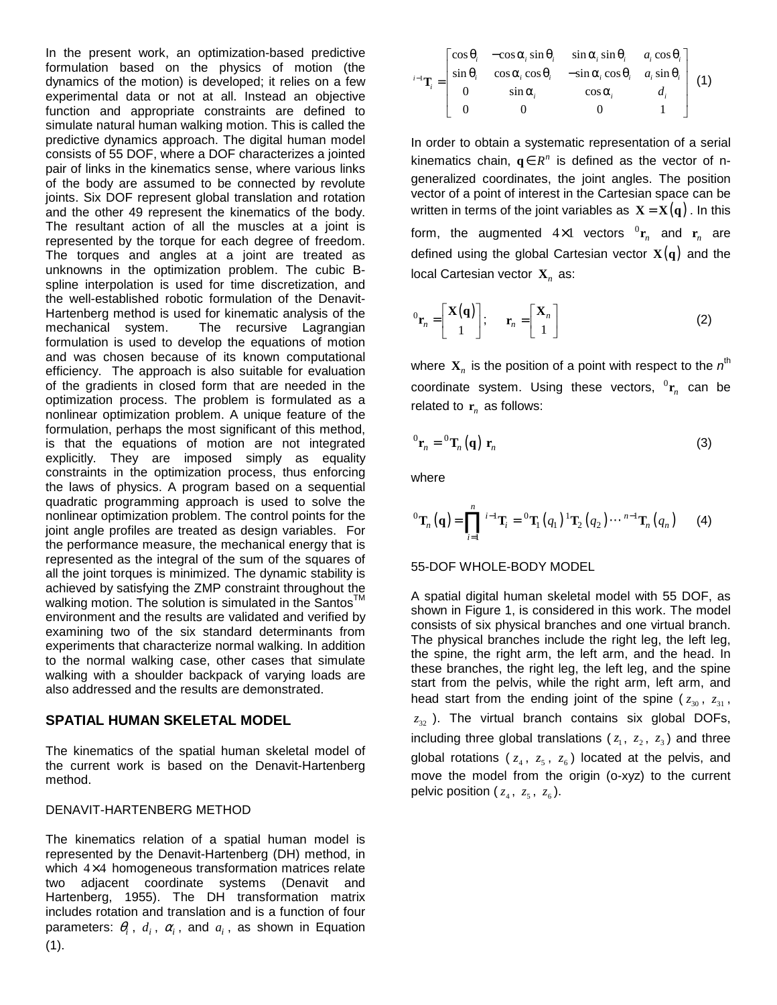In the present work, an optimization-based predictive formulation based on the physics of motion (the dynamics of the motion) is developed; it relies on a few experimental data or not at all. Instead an objective function and appropriate constraints are defined to simulate natural human walking motion. This is called the predictive dynamics approach. The digital human model consists of 55 DOF, where a DOF characterizes a jointed pair of links in the kinematics sense, where various links of the body are assumed to be connected by revolute joints. Six DOF represent global translation and rotation and the other 49 represent the kinematics of the body. The resultant action of all the muscles at a joint is represented by the torque for each degree of freedom. The torques and angles at a joint are treated as unknowns in the optimization problem. The cubic Bspline interpolation is used for time discretization, and the well-established robotic formulation of the Denavit-Hartenberg method is used for kinematic analysis of the mechanical system. The recursive Lagrangian formulation is used to develop the equations of motion and was chosen because of its known computational efficiency. The approach is also suitable for evaluation of the gradients in closed form that are needed in the optimization process. The problem is formulated as a nonlinear optimization problem. A unique feature of the formulation, perhaps the most significant of this method, is that the equations of motion are not integrated explicitly. They are imposed simply as equality constraints in the optimization process, thus enforcing the laws of physics. A program based on a sequential quadratic programming approach is used to solve the nonlinear optimization problem. The control points for the joint angle profiles are treated as design variables. For the performance measure, the mechanical energy that is represented as the integral of the sum of the squares of all the joint torques is minimized. The dynamic stability is achieved by satisfying the ZMP constraint throughout the walking motion. The solution is simulated in the Santos<sup>TM</sup> environment and the results are validated and verified by examining two of the six standard determinants from experiments that characterize normal walking. In addition to the normal walking case, other cases that simulate walking with a shoulder backpack of varying loads are also addressed and the results are demonstrated.

## **SPATIAL HUMAN SKELETAL MODEL**

The kinematics of the spatial human skeletal model of the current work is based on the Denavit-Hartenberg method.

#### DENAVIT-HARTENBERG METHOD

The kinematics relation of a spatial human model is represented by the Denavit-Hartenberg (DH) method, in which  $4 \times 4$  homogeneous transformation matrices relate two adjacent coordinate systems (Denavit and Hartenberg, 1955). The DH transformation matrix includes rotation and translation and is a function of four parameters:  $\theta_i$ ,  $d_i$ ,  $\alpha_i$ , and  $a_i$ , as shown in Equation (1).

$$
{}^{i-1}\mathbf{T}_i = \begin{bmatrix} \cos\theta_i & -\cos\alpha_i\sin\theta_i & \sin\alpha_i\sin\theta_i & a_i\cos\theta_i \\ \sin\theta_i & \cos\alpha_i\cos\theta_i & -\sin\alpha_i\cos\theta_i & a_i\sin\theta_i \\ 0 & \sin\alpha_i & \cos\alpha_i & d_i \\ 0 & 0 & 0 & 1 \end{bmatrix} (1)
$$

In order to obtain a systematic representation of a serial kinematics chain,  $q \in R^n$  is defined as the vector of ngeneralized coordinates, the joint angles. The position vector of a point of interest in the Cartesian space can be written in terms of the joint variables as  $\mathbf{X} = \mathbf{X}(\mathbf{q})$ . In this form, the augmented  $4\times1$  vectors  ${}^{0}\mathbf{r}_n$  and  $\mathbf{r}_n$  are defined using the global Cartesian vector  $X(q)$  and the local Cartesian vector **X***<sup>n</sup>* as:

$$
{}^{0}\mathbf{r}_{n} = \begin{bmatrix} \mathbf{X}(\mathbf{q}) \\ 1 \end{bmatrix}; \quad \mathbf{r}_{n} = \begin{bmatrix} \mathbf{X}_{n} \\ 1 \end{bmatrix}
$$
 (2)

where  $\mathbf{X}_n$  is the position of a point with respect to the  $n^\text{th}$ coordinate system. Using these vectors,  ${}^{0}$ r<sub>*n*</sub> can be related to **r***<sup>n</sup>* as follows:

$$
{}^{0}\mathbf{r}_{n} = {}^{0}\mathbf{T}_{n}(\mathbf{q}) \mathbf{r}_{n} \tag{3}
$$

where

$$
{}^{0}\mathbf{T}_{n}\left(\mathbf{q}\right)=\prod_{i=1}^{n} {}^{i-1}\mathbf{T}_{i}={}^{0}\mathbf{T}_{1}\left(q_{1}\right){}^{1}\mathbf{T}_{2}\left(q_{2}\right)\cdots {}^{n-1}\mathbf{T}_{n}\left(q_{n}\right) \qquad \textbf{(4)}
$$

#### 55-DOF WHOLE-BODY MODEL

A spatial digital human skeletal model with 55 DOF, as shown in Figure 1, is considered in this work. The model consists of six physical branches and one virtual branch. The physical branches include the right leg, the left leg, the spine, the right arm, the left arm, and the head. In these branches, the right leg, the left leg, and the spine start from the pelvis, while the right arm, left arm, and head start from the ending joint of the spine ( $z_{30}$ ,  $z_{31}$ ,  $z_{32}$ ). The virtual branch contains six global DOFs, including three global translations  $(z_1, z_2, z_3)$  and three global rotations  $(z_4, z_5, z_6)$  located at the pelvis, and move the model from the origin (o-xyz) to the current pelvic position ( $z_4$ ,  $z_5$ ,  $z_6$ ).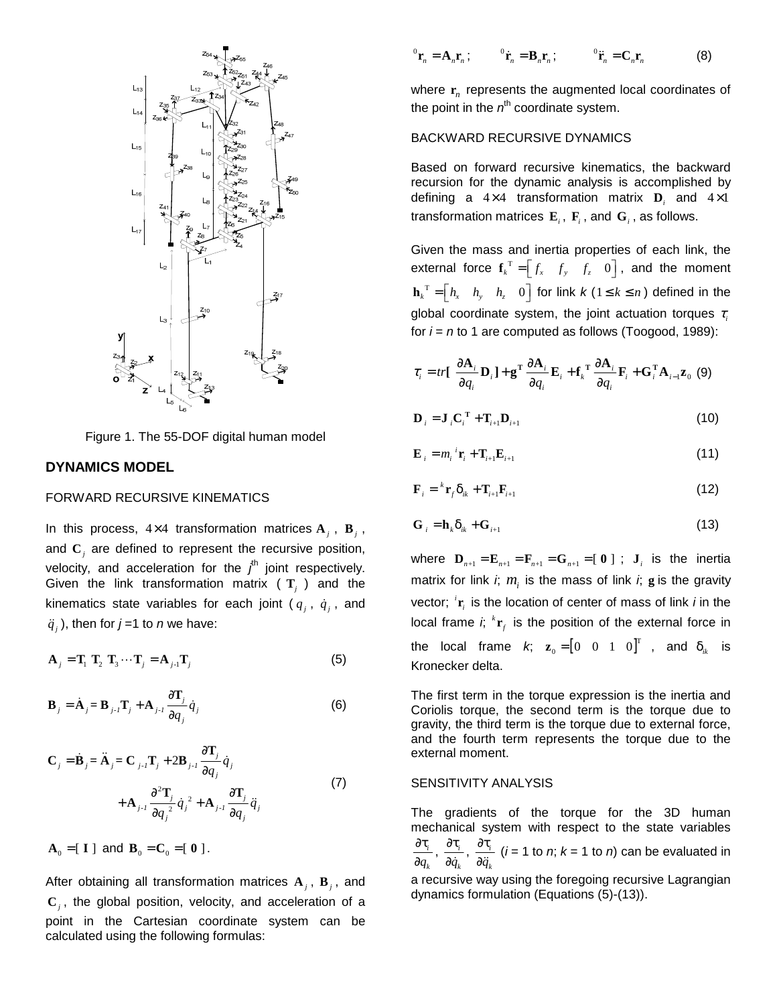

Figure 1. The 55-DOF digital human model

## **DYNAMICS MODEL**

#### FORWARD RECURSIVE KINEMATICS

In this process,  $4 \times 4$  transformation matrices  $\mathbf{A}_j$ ,  $\mathbf{B}_j$ , and **C***<sup>j</sup>* are defined to represent the recursive position, velocity, and acceleration for the  $j^{\text{th}}$  joint respectively. Given the link transformation matrix ( **T***<sup>j</sup>* ) and the kinematics state variables for each joint ( $q_j$ ,  $\dot{q}_j$ , and  $\ddot{q}_j$ ), then for  $j = 1$  to *n* we have:

$$
\mathbf{A}_{j} = \mathbf{T}_{1} \mathbf{T}_{2} \mathbf{T}_{3} \cdots \mathbf{T}_{j} = \mathbf{A}_{j-1} \mathbf{T}_{j}
$$
 (5)

$$
\mathbf{B}_{j} = \dot{\mathbf{A}}_{j} = \mathbf{B}_{j \cdot I} \mathbf{T}_{j} + \mathbf{A}_{j \cdot I} \frac{\partial \mathbf{T}_{j}}{\partial q_{j}} \dot{q}_{j}
$$
(6)

$$
\mathbf{C}_{j} = \dot{\mathbf{B}}_{j} = \ddot{\mathbf{A}}_{j} = \mathbf{C}_{j}{}_{I} \mathbf{T}_{j} + 2\mathbf{B}_{j}{}_{I} \frac{\partial \mathbf{T}_{j}}{\partial q_{j}} \dot{q}_{j} + \mathbf{A}_{j}{}_{I} \frac{\partial^{2} \mathbf{T}_{j}}{\partial q_{j}^{2}} \dot{q}_{j}^{2} + \mathbf{A}_{j}{}_{I} \frac{\partial \mathbf{T}_{j}}{\partial q_{j}} \ddot{q}_{j}
$$
\n(7)

$$
\mathbf{A}_0 = [\mathbf{I}] \text{ and } \mathbf{B}_0 = \mathbf{C}_0 = [\mathbf{0}].
$$

After obtaining all transformation matrices **A** *<sup>j</sup>* , **B***<sup>j</sup>* , and **C***j* , the global position, velocity, and acceleration of a point in the Cartesian coordinate system can be calculated using the following formulas:

$$
{}^{0}\mathbf{r}_{n} = \mathbf{A}_{n}\mathbf{r}_{n}; \qquad {}^{0}\dot{\mathbf{r}}_{n} = \mathbf{B}_{n}\mathbf{r}_{n}; \qquad {}^{0}\ddot{\mathbf{r}}_{n} = \mathbf{C}_{n}\mathbf{r}_{n} \qquad (8)
$$

where  $\mathbf{r}_n$  represents the augmented local coordinates of the point in the  $n^{\text{th}}$  coordinate system.

## BACKWARD RECURSIVE DYNAMICS

Based on forward recursive kinematics, the backward recursion for the dynamic analysis is accomplished by defining a  $4\times4$  transformation matrix  $\mathbf{D}_i$  and  $4\times1$ transformation matrices  $\mathbf{E}_i$ ,  $\mathbf{F}_i$ , and  $\mathbf{G}_i$ , as follows.

Given the mass and inertia properties of each link, the external force  $f_k^T = \begin{bmatrix} f_x & f_y & f_z & 0 \end{bmatrix}$ , and the moment  $\mathbf{h}_k^{\mathrm{T}} = \begin{bmatrix} h_x & h_y & h_z & 0 \end{bmatrix}$  for link  $k$  ( $1 \le k \le n$ ) defined in the global coordinate system, the joint actuation torques  $\tau_{i}$ for  $i = n$  to 1 are computed as follows (Toogood, 1989):

$$
\tau_i = tr[\frac{\partial \mathbf{A}_i}{\partial q_i} \mathbf{D}_i] + \mathbf{g}^{\mathrm{T}} \frac{\partial \mathbf{A}_i}{\partial q_i} \mathbf{E}_i + \mathbf{f}_k^{\mathrm{T}} \frac{\partial \mathbf{A}_i}{\partial q_i} \mathbf{F}_i + \mathbf{G}_i^{\mathrm{T}} \mathbf{A}_{i-1} \mathbf{z}_0 \tag{9}
$$

$$
\mathbf{D}_{i} = \mathbf{J}_{i} \mathbf{C}_{i}^{\mathrm{T}} + \mathbf{T}_{i+1} \mathbf{D}_{i+1}
$$
 (10)

$$
\mathbf{E}_{i} = m_{i}^{i} \mathbf{r}_{i} + \mathbf{T}_{i+1} \mathbf{E}_{i+1}
$$
 (11)

$$
\mathbf{F}_{i} = {}^{k} \mathbf{r}_{f} \delta_{ik} + \mathbf{T}_{i+1} \mathbf{F}_{i+1}
$$
 (12)

$$
\mathbf{G}_{i} = \mathbf{h}_{k} \delta_{ik} + \mathbf{G}_{i+1}
$$
 (13)

where  $\mathbf{D}_{n+1} = \mathbf{E}_{n+1} = \mathbf{F}_{n+1} = \mathbf{G}_{n+1} = [0]$ ;  $\mathbf{J}_i$  is the inertia matrix for link *i*;  $m<sub>i</sub>$  is the mass of link *i*; g is the gravity vector;  $\iota^i$ **r**<sub>i</sub> is the location of center of mass of link *i* in the local frame  $i$ ;  ${}^k$ **r**<sub> $f$ </sub> is the position of the external force in the local frame  $k$ ;  $\mathbf{z}_0 = \begin{bmatrix} 0 & 0 & 1 & 0 \end{bmatrix}^T$  , and  $\delta_{ik}$  is Kronecker delta.

The first term in the torque expression is the inertia and Coriolis torque, the second term is the torque due to gravity, the third term is the torque due to external force, and the fourth term represents the torque due to the external moment.

# SENSITIVITY ANALYSIS

The gradients of the torque for the 3D human mechanical system with respect to the state variables *i k q* ∂τ ∂  $\frac{\partial v_i}{\partial x_i}$  $\dot{q}_k$  $\frac{\partial \mathfrak{\tau}_i}{\partial {\dot{q}}_k}, \; \frac{\partial \mathfrak{\tau}_i}{\partial {\ddot{q}}_k}$  $\ddot{q}_k$ ∂τ  $\frac{\partial \mathbf{v}_i}{\partial \ddot{q}_k}$  (*i* = 1 to *n*; *k* = 1 to *n*) can be evaluated in

a recursive way using the foregoing recursive Lagrangian dynamics formulation (Equations (5)-(13)).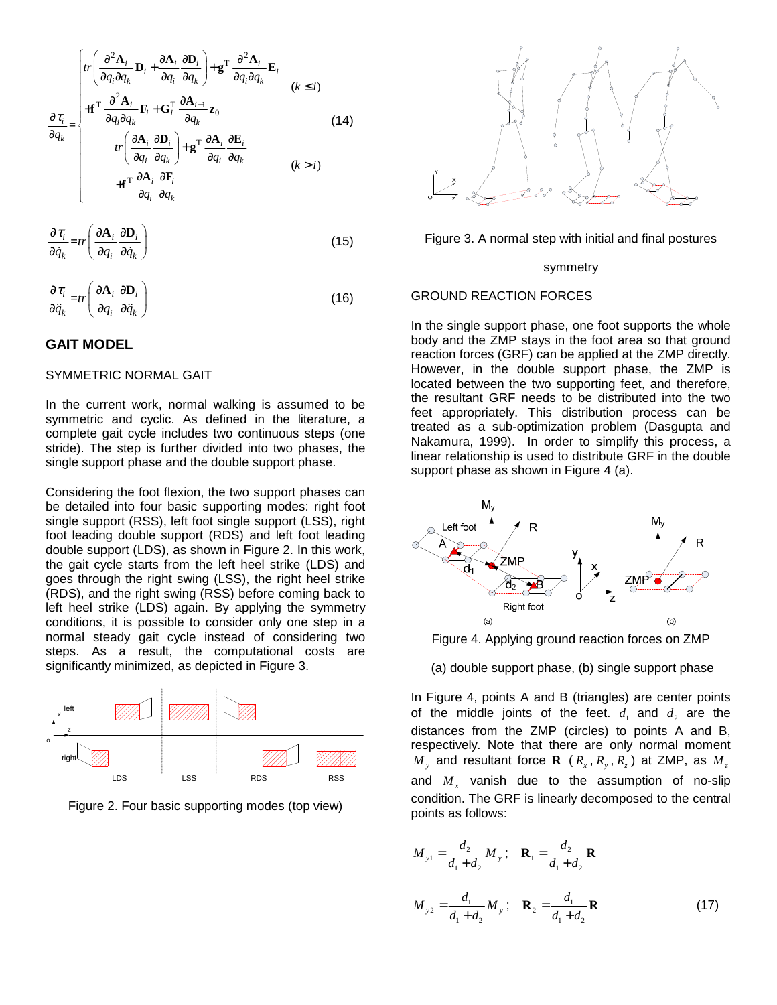$$
\frac{\partial \tau_i}{\partial q_i} = \begin{cases} tr \left( \frac{\partial^2 \mathbf{A}_i}{\partial q_i \partial q_k} \mathbf{D}_i + \frac{\partial \mathbf{A}_i}{\partial q_i} \frac{\partial \mathbf{D}_i}{\partial q_k} \right) + \mathbf{g}^T \frac{\partial^2 \mathbf{A}_i}{\partial q_i \partial q_k} \mathbf{E}_i \\ + \mathbf{f}^T \frac{\partial^2 \mathbf{A}_i}{\partial q_i \partial q_k} \mathbf{F}_i + \mathbf{G}_i^T \frac{\partial \mathbf{A}_{i-1}}{\partial q_k} \mathbf{z}_0 \\ tr \left( \frac{\partial \mathbf{A}_i}{\partial q_i} \frac{\partial \mathbf{D}_i}{\partial q_k} \right) + \mathbf{g}^T \frac{\partial \mathbf{A}_i}{\partial q_i} \frac{\partial \mathbf{E}_i}{\partial q_k} \\ + \mathbf{f}^T \frac{\partial \mathbf{A}_i}{\partial q_i} \frac{\partial \mathbf{F}_i}{\partial q_k} \end{cases}
$$
(14)

$$
\frac{\partial \tau_i}{\partial \dot{q}_k} = tr \left( \frac{\partial \mathbf{A}_i}{\partial q_i} \frac{\partial \mathbf{D}_i}{\partial \dot{q}_k} \right)
$$
(15)

$$
\frac{\partial \tau_i}{\partial \ddot{q}_k} = tr \left( \frac{\partial \mathbf{A}_i}{\partial q_i} \frac{\partial \mathbf{D}_i}{\partial \ddot{q}_k} \right)
$$
(16)

# **GAIT MODEL**

#### SYMMETRIC NORMAL GAIT

In the current work, normal walking is assumed to be symmetric and cyclic. As defined in the literature, a complete gait cycle includes two continuous steps (one stride). The step is further divided into two phases, the single support phase and the double support phase.

Considering the foot flexion, the two support phases can be detailed into four basic supporting modes: right foot single support (RSS), left foot single support (LSS), right foot leading double support (RDS) and left foot leading double support (LDS), as shown in Figure 2. In this work, the gait cycle starts from the left heel strike (LDS) and goes through the right swing (LSS), the right heel strike (RDS), and the right swing (RSS) before coming back to left heel strike (LDS) again. By applying the symmetry conditions, it is possible to consider only one step in a normal steady gait cycle instead of considering two steps. As a result, the computational costs are significantly minimized, as depicted in Figure 3.



Figure 2. Four basic supporting modes (top view)





#### symmetry

#### GROUND REACTION FORCES

In the single support phase, one foot supports the whole body and the ZMP stays in the foot area so that ground reaction forces (GRF) can be applied at the ZMP directly. However, in the double support phase, the ZMP is located between the two supporting feet, and therefore, the resultant GRF needs to be distributed into the two feet appropriately. This distribution process can be treated as a sub-optimization problem (Dasgupta and Nakamura, 1999). In order to simplify this process, a linear relationship is used to distribute GRF in the double support phase as shown in Figure 4 (a).



Figure 4. Applying ground reaction forces on ZMP

#### (a) double support phase, (b) single support phase

In Figure 4, points A and B (triangles) are center points of the middle joints of the feet.  $d_1$  and  $d_2$  are the distances from the ZMP (circles) to points A and B, respectively. Note that there are only normal moment  $M_{_y}$  and resultant force **R**  $(R_{_x},R_{_y},R_{_z})$  at ZMP, as  $M_{_z}$ and *M<sup>x</sup>* vanish due to the assumption of no-slip condition. The GRF is linearly decomposed to the central points as follows:

$$
M_{y1} = \frac{d_2}{d_1 + d_2} M_y; \quad \mathbf{R}_1 = \frac{d_2}{d_1 + d_2} \mathbf{R}
$$
  

$$
M_{y2} = \frac{d_1}{d_1 + d_2} M_y; \quad \mathbf{R}_2 = \frac{d_1}{d_1 + d_2} \mathbf{R}
$$
 (17)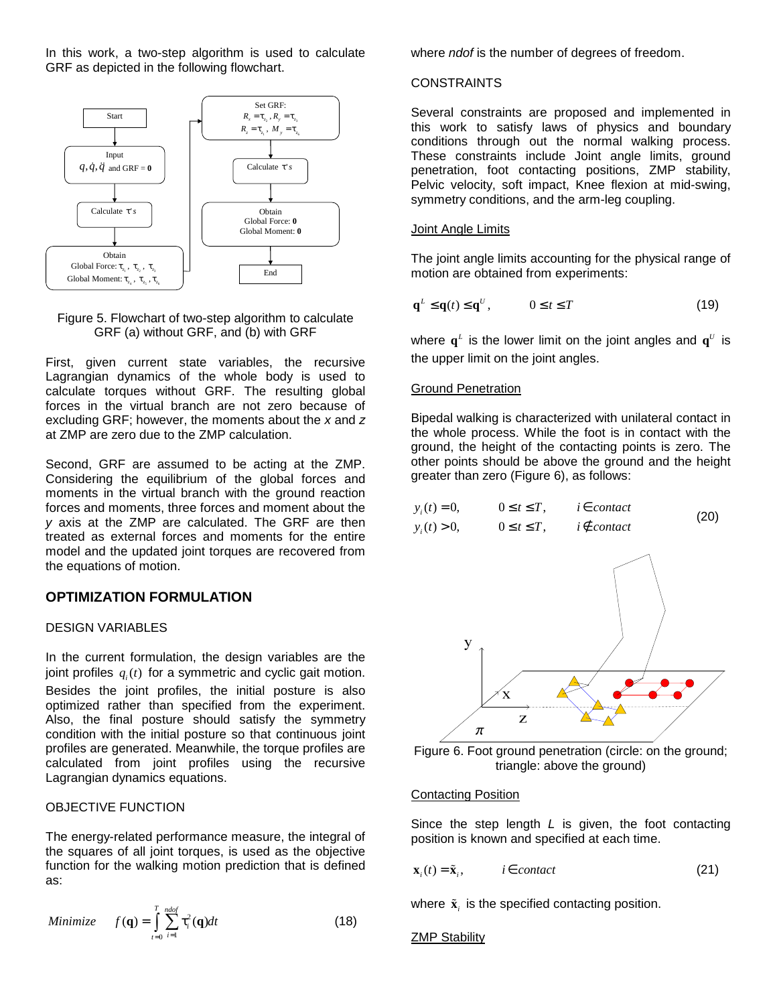In this work, a two-step algorithm is used to calculate GRF as depicted in the following flowchart.



#### Figure 5. Flowchart of two-step algorithm to calculate GRF (a) without GRF, and (b) with GRF

First, given current state variables, the recursive Lagrangian dynamics of the whole body is used to calculate torques without GRF. The resulting global forces in the virtual branch are not zero because of excluding GRF; however, the moments about the x and z at ZMP are zero due to the ZMP calculation.

Second, GRF are assumed to be acting at the ZMP. Considering the equilibrium of the global forces and moments in the virtual branch with the ground reaction forces and moments, three forces and moment about the y axis at the ZMP are calculated. The GRF are then treated as external forces and moments for the entire model and the updated joint torques are recovered from the equations of motion.

# **OPTIMIZATION FORMULATION**

## DESIGN VARIABLES

In the current formulation, the design variables are the joint profiles  $q_i(t)$  for a symmetric and cyclic gait motion. Besides the joint profiles, the initial posture is also optimized rather than specified from the experiment. Also, the final posture should satisfy the symmetry condition with the initial posture so that continuous joint profiles are generated. Meanwhile, the torque profiles are calculated from joint profiles using the recursive Lagrangian dynamics equations.

# OBJECTIVE FUNCTION

The energy-related performance measure, the integral of the squares of all joint torques, is used as the objective function for the walking motion prediction that is defined as:

Minimize 
$$
f(\mathbf{q}) = \int_{t=0}^{T} \sum_{i=1}^{ndof} \tau_i^2(\mathbf{q}) dt
$$
 (18)

where ndof is the number of degrees of freedom.

## **CONSTRAINTS**

Several constraints are proposed and implemented in this work to satisfy laws of physics and boundary conditions through out the normal walking process. These constraints include Joint angle limits, ground penetration, foot contacting positions, ZMP stability, Pelvic velocity, soft impact, Knee flexion at mid-swing, symmetry conditions, and the arm-leg coupling.

## Joint Angle Limits

The joint angle limits accounting for the physical range of motion are obtained from experiments:

$$
\mathbf{q}^L \leq \mathbf{q}(t) \leq \mathbf{q}^U, \qquad 0 \leq t \leq T \tag{19}
$$

where  $q^L$  is the lower limit on the joint angles and  $q^U$  is the upper limit on the joint angles.

## Ground Penetration

Bipedal walking is characterized with unilateral contact in the whole process. While the foot is in contact with the ground, the height of the contacting points is zero. The other points should be above the ground and the height greater than zero (Figure 6), as follows:

$$
y_i(t) = 0, \t 0 \le t \le T, \t i \in contact
$$
  
\n
$$
y_i(t) > 0, \t 0 \le t \le T, \t i \notin contact
$$
\n(20)



Figure 6. Foot ground penetration (circle: on the ground; triangle: above the ground)

#### Contacting Position

Since the step length  $L$  is given, the foot contacting position is known and specified at each time.

$$
\mathbf{x}_{i}(t) = \tilde{\mathbf{x}}_{i}, \qquad i \in contact \tag{21}
$$

where  $\tilde{\mathbf{x}}_i$  is the specified contacting position.

#### ZMP Stability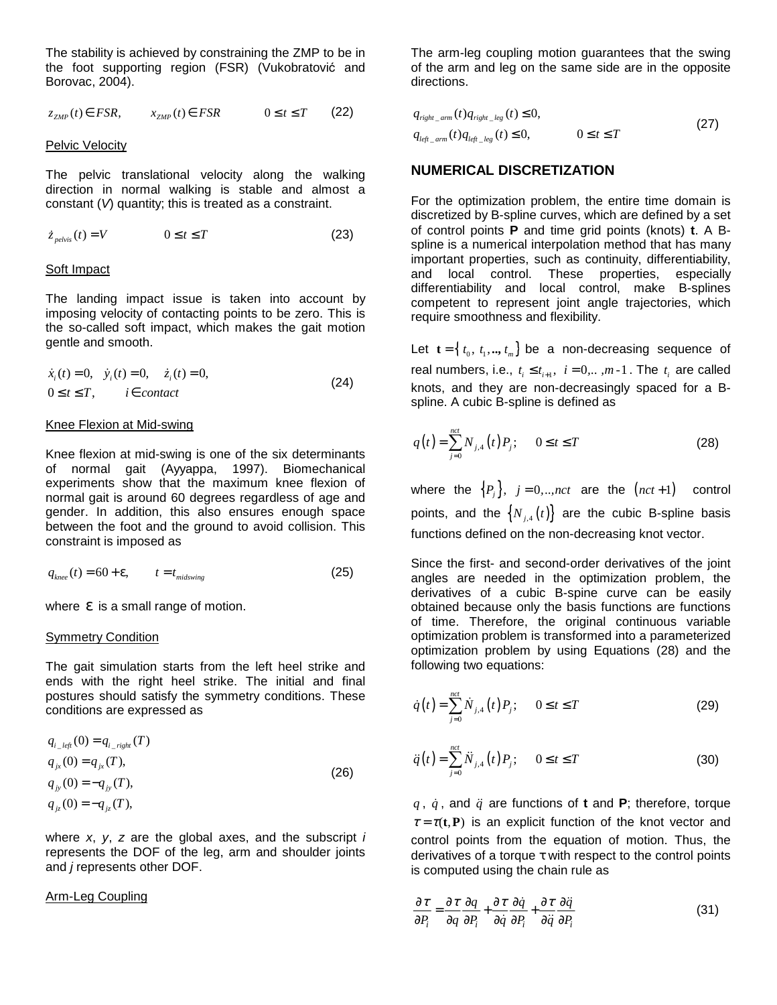The stability is achieved by constraining the ZMP to be in the foot supporting region (FSR) (Vukobratović and Borovac, 2004).

$$
z_{ZMP}(t) \in FSR, \qquad x_{ZMP}(t) \in FSR \qquad 0 \le t \le T \qquad (22)
$$

#### **Pelvic Velocity**

The pelvic translational velocity along the walking direction in normal walking is stable and almost a constant (V) quantity; this is treated as a constraint.

$$
\dot{z}_{\text{pelvis}}(t) = V \qquad \qquad 0 \le t \le T \tag{23}
$$

#### Soft Impact

The landing impact issue is taken into account by imposing velocity of contacting points to be zero. This is the so-called soft impact, which makes the gait motion gentle and smooth.

$$
\dot{x}_i(t) = 0, \quad \dot{y}_i(t) = 0, \quad \dot{z}_i(t) = 0,
$$
\n  
\n $0 \le t \le T, \quad i \in contact$ \n(24)

#### Knee Flexion at Mid-swing

Knee flexion at mid-swing is one of the six determinants of normal gait (Ayyappa, 1997). Biomechanical experiments show that the maximum knee flexion of normal gait is around 60 degrees regardless of age and gender. In addition, this also ensures enough space between the foot and the ground to avoid collision. This constraint is imposed as

$$
q_{\text{knee}}(t) = 60 + \varepsilon, \qquad t = t_{\text{midswing}} \tag{25}
$$

where  $\varepsilon$  is a small range of motion.

#### Symmetry Condition

The gait simulation starts from the left heel strike and ends with the right heel strike. The initial and final postures should satisfy the symmetry conditions. These conditions are expressed as

$$
q_{i_{\text{left}}} (0) = q_{i_{\text{right}}} (T)
$$
  
\n
$$
q_{j_{\text{right}}} (0) = q_{j_{\text{right}}} (T),
$$
  
\n
$$
q_{j_{\text{right}}} (0) = -q_{j_{\text{right}}} (T),
$$
  
\n
$$
q_{j_{\text{right}}} (0) = -q_{j_{\text{right}}} (T),
$$
\n(26)

where  $x$ ,  $y$ ,  $z$  are the global axes, and the subscript  $i$ represents the DOF of the leg, arm and shoulder joints and j represents other DOF.

#### Arm-Leg Coupling

The arm-leg coupling motion guarantees that the swing of the arm and leg on the same side are in the opposite directions.

$$
q_{right\_arm}(t)q_{right\_leg}(t) \le 0,
$$
  
\n
$$
q_{left\_arm}(t)q_{left\_leg}(t) \le 0, \qquad 0 \le t \le T
$$
\n(27)

## **NUMERICAL DISCRETIZATION**

For the optimization problem, the entire time domain is discretized by B-spline curves, which are defined by a set of control points **P** and time grid points (knots) **t**. A Bspline is a numerical interpolation method that has many important properties, such as continuity, differentiability, and local control. These properties, especially differentiability and local control, make B-splines competent to represent joint angle trajectories, which require smoothness and flexibility.

Let  $\mathbf{t} = \{ t_0, t_1, ..., t_m \}$  be a non-decreasing sequence of real numbers, i.e.,  $t_i \leq t_{i+1}$ ,  $i = 0,...,m-1$ . The  $t_i$  are called knots, and they are non-decreasingly spaced for a Bspline. A cubic B-spline is defined as

$$
q(t) = \sum_{j=0}^{nct} N_{j,4}(t) P_j; \qquad 0 \le t \le T
$$
 (28)

where the  ${P<sub>i</sub>}$ ,  $j = 0,..,nct$  are the  $(nct + 1)$  control points, and the  $\{N_{j,4}(t)\}\$  are the cubic B-spline basis functions defined on the non-decreasing knot vector.

Since the first- and second-order derivatives of the joint angles are needed in the optimization problem, the derivatives of a cubic B-spine curve can be easily obtained because only the basis functions are functions of time. Therefore, the original continuous variable optimization problem is transformed into a parameterized optimization problem by using Equations (28) and the following two equations:

$$
\dot{q}(t) = \sum_{j=0}^{nct} \dot{N}_{j,4}(t) P_j; \qquad 0 \le t \le T
$$
 (29)

$$
\ddot{q}(t) = \sum_{j=0}^{nct} \ddot{N}_{j,4}(t) P_j; \qquad 0 \le t \le T
$$
 (30)

 $q$ ,  $\dot{q}$ , and  $\ddot{q}$  are functions of **t** and **P**; therefore, torque  $\tau = \tau(t, P)$  is an explicit function of the knot vector and control points from the equation of motion. Thus, the derivatives of a torque  $\tau$  with respect to the control points is computed using the chain rule as

$$
\frac{\partial \tau}{\partial P_i} = \frac{\partial \tau}{\partial q} \frac{\partial q}{\partial P_i} + \frac{\partial \tau}{\partial \dot{q}} \frac{\partial \dot{q}}{\partial P_i} + \frac{\partial \tau}{\partial \ddot{q}} \frac{\partial \dddot{q}}{\partial P_i}
$$
(31)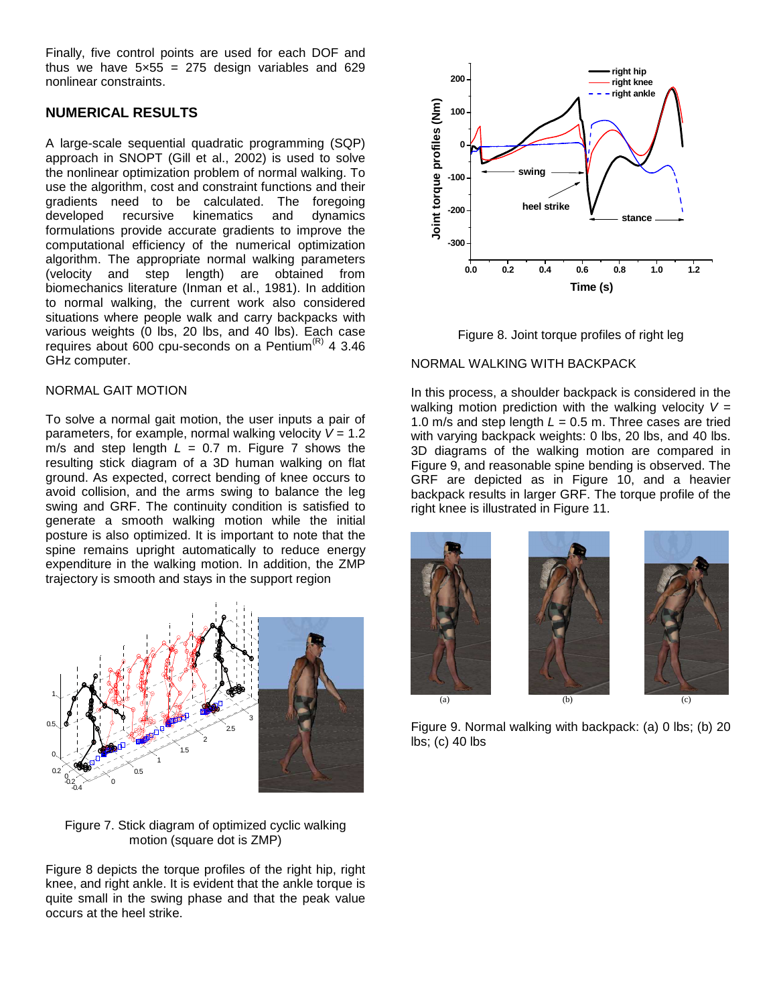Finally, five control points are used for each DOF and thus we have  $5\times55 = 275$  design variables and 629 nonlinear constraints.

# **NUMERICAL RESULTS**

A large-scale sequential quadratic programming (SQP) approach in SNOPT (Gill et al., 2002) is used to solve the nonlinear optimization problem of normal walking. To use the algorithm, cost and constraint functions and their gradients need to be calculated. The foregoing developed recursive kinematics and dynamics formulations provide accurate gradients to improve the computational efficiency of the numerical optimization algorithm. The appropriate normal walking parameters (velocity and step length) are obtained from biomechanics literature (Inman et al., 1981). In addition to normal walking, the current work also considered situations where people walk and carry backpacks with various weights (0 lbs, 20 lbs, and 40 lbs). Each case requires about 600 cpu-seconds on a Pentium<sup> $(R)$ </sup> 4 3.46 GHz computer.

## NORMAL GAIT MOTION

To solve a normal gait motion, the user inputs a pair of parameters, for example, normal walking velocity  $V = 1.2$ m/s and step length  $L = 0.7$  m. Figure 7 shows the resulting stick diagram of a 3D human walking on flat ground. As expected, correct bending of knee occurs to avoid collision, and the arms swing to balance the leg swing and GRF. The continuity condition is satisfied to generate a smooth walking motion while the initial posture is also optimized. It is important to note that the spine remains upright automatically to reduce energy expenditure in the walking motion. In addition, the ZMP trajectory is smooth and stays in the support region



Figure 7. Stick diagram of optimized cyclic walking motion (square dot is ZMP)

Figure 8 depicts the torque profiles of the right hip, right knee, and right ankle. It is evident that the ankle torque is quite small in the swing phase and that the peak value occurs at the heel strike.





## NORMAL WALKING WITH BACKPACK

In this process, a shoulder backpack is considered in the walking motion prediction with the walking velocity  $V =$ 1.0 m/s and step length  $L = 0.5$  m. Three cases are tried with varying backpack weights: 0 lbs, 20 lbs, and 40 lbs. 3D diagrams of the walking motion are compared in Figure 9, and reasonable spine bending is observed. The GRF are depicted as in Figure 10, and a heavier backpack results in larger GRF. The torque profile of the right knee is illustrated in Figure 11.



Figure 9. Normal walking with backpack: (a) 0 lbs; (b) 20 lbs; (c) 40 lbs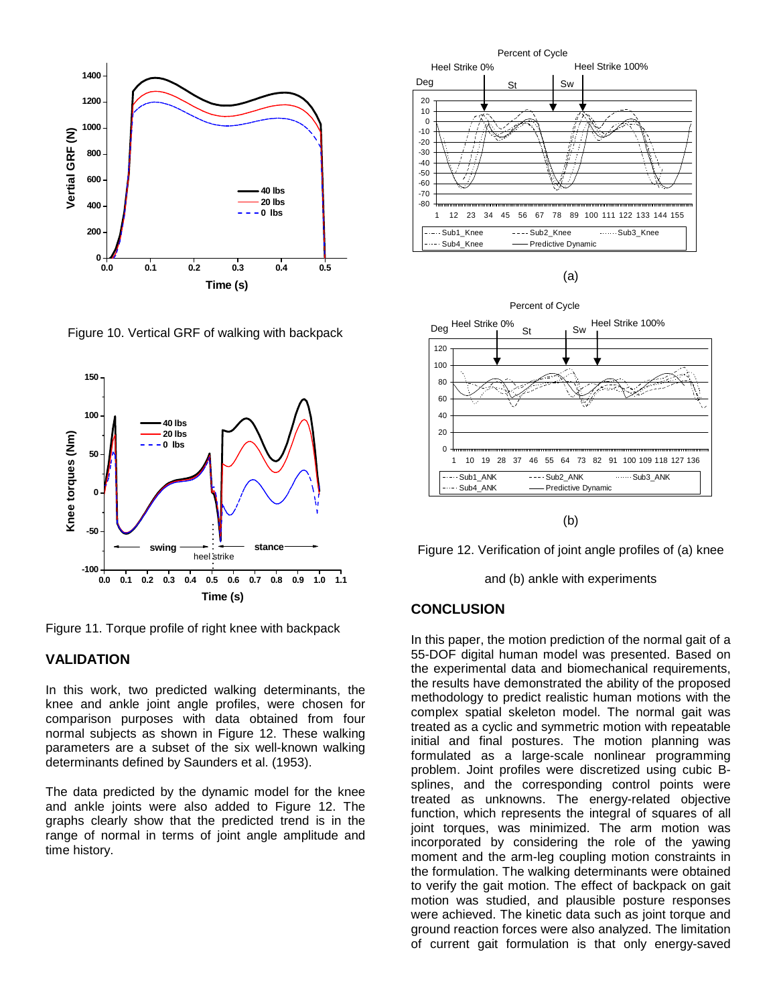

Figure 10. Vertical GRF of walking with backpack



Figure 11. Torque profile of right knee with backpack

## **VALIDATION**

In this work, two predicted walking determinants, the knee and ankle joint angle profiles, were chosen for comparison purposes with data obtained from four normal subjects as shown in Figure 12. These walking parameters are a subset of the six well-known walking determinants defined by Saunders et al. (1953).

The data predicted by the dynamic model for the knee and ankle joints were also added to Figure 12. The graphs clearly show that the predicted trend is in the range of normal in terms of joint angle amplitude and time history.



(a)



Figure 12. Verification of joint angle profiles of (a) knee

and (b) ankle with experiments

## **CONCLUSION**

In this paper, the motion prediction of the normal gait of a 55-DOF digital human model was presented. Based on the experimental data and biomechanical requirements, the results have demonstrated the ability of the proposed methodology to predict realistic human motions with the complex spatial skeleton model. The normal gait was treated as a cyclic and symmetric motion with repeatable initial and final postures. The motion planning was formulated as a large-scale nonlinear programming problem. Joint profiles were discretized using cubic Bsplines, and the corresponding control points were treated as unknowns. The energy-related objective function, which represents the integral of squares of all joint torques, was minimized. The arm motion was incorporated by considering the role of the yawing moment and the arm-leg coupling motion constraints in the formulation. The walking determinants were obtained to verify the gait motion. The effect of backpack on gait motion was studied, and plausible posture responses were achieved. The kinetic data such as joint torque and ground reaction forces were also analyzed. The limitation of current gait formulation is that only energy-saved